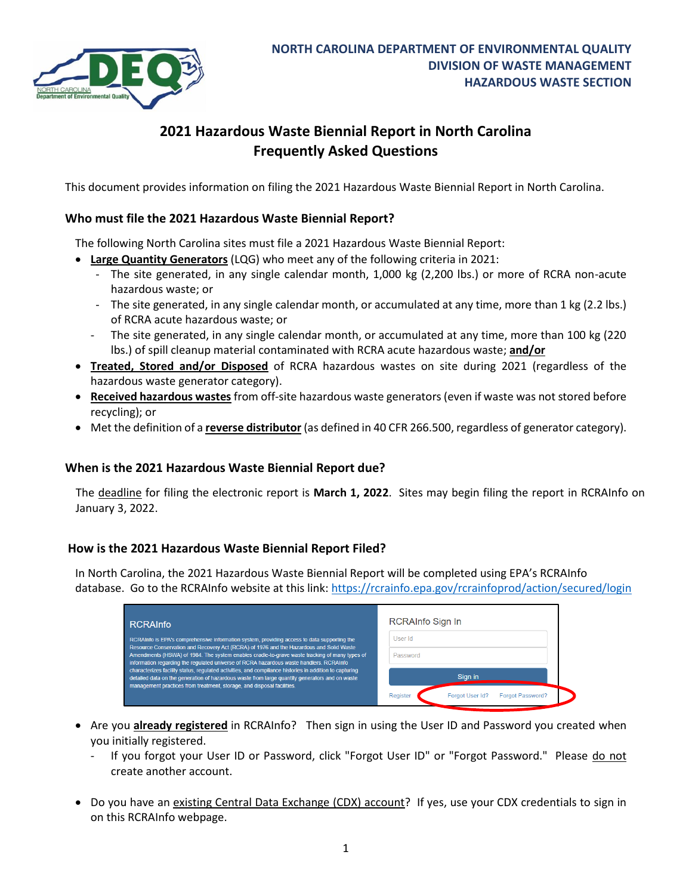

# **2021 Hazardous Waste Biennial Report in North Carolina Frequently Asked Questions**

This document provides information on filing the 2021 Hazardous Waste Biennial Report in North Carolina.

### <span id="page-0-0"></span>**Who must file the 2021 Hazardous Waste Biennial Report?**

The following North Carolina sites must file a 2021 Hazardous Waste Biennial Report:

- **Large Quantity Generators** (LQG) who meet any of the following criteria in 2021:
	- The site generated, in any single calendar month, 1,000 kg (2,200 lbs.) or more of RCRA non-acute hazardous waste; or
	- The site generated, in any single calendar month, or accumulated at any time, more than 1 kg (2.2 lbs.) of RCRA acute hazardous waste; or
	- The site generated, in any single calendar month, or accumulated at any time, more than 100 kg (220 lbs.) of spill cleanup material contaminated with RCRA acute hazardous waste; **and/or**
- **Treated, Stored and/or Disposed** of RCRA hazardous wastes on site during 2021 (regardless of the hazardous waste generator category).
- **Received hazardous wastes** from off-site hazardous waste generators (even if waste was not stored before recycling); or
- Met the definition of a **reverse distributor** (as defined in 40 CFR 266.500, regardless of generator category).

### **When is the 2021 Hazardous Waste Biennial Report due?**

The deadline for filing the electronic report is **March 1, 2022**. Sites may begin filing the report in RCRAInfo on January 3, 2022.

#### **How is the 2021 Hazardous Waste Biennial Report Filed?**

In North Carolina, the 2021 Hazardous Waste Biennial Report will be completed using EPA's RCRAInfo database. Go to the RCRAInfo website at this link: <https://rcrainfo.epa.gov/rcrainfoprod/action/secured/login>

| <b>RCRAInfo</b>                                                                                                                                                                                                                                                                     | RCRAInfo Sign In                                       |
|-------------------------------------------------------------------------------------------------------------------------------------------------------------------------------------------------------------------------------------------------------------------------------------|--------------------------------------------------------|
| RCRAInfo is EPA's comprehensive information system, providing access to data supporting the                                                                                                                                                                                         | User Id                                                |
| Resource Conservation and Recovery Act (RCRA) of 1976 and the Hazardous and Solid Waste<br>Amendments (HSWA) of 1984. The system enables cradle-to-grave waste tracking of many types of<br>information regarding the regulated universe of RCRA hazardous waste handlers. RCRAInfo | Password                                               |
| characterizes facility status, regulated activities, and compliance histories in addition to capturing<br>detailed data on the generation of hazardous waste from large quantity generators and on waste<br>management practices from treatment, storage, and disposal facilities.  | Sian in                                                |
|                                                                                                                                                                                                                                                                                     | Register<br>Forgot User Id?<br><b>Forgot Password?</b> |

- Are you **already registered** in RCRAInfo? Then sign in using the User ID and Password you created when you initially registered.
	- If you forgot your User ID or Password, click "Forgot User ID" or "Forgot Password." Please do not create another account.
- Do you have an existing Central Data Exchange (CDX) account? If yes, use your CDX credentials to sign in on this RCRAInfo webpage.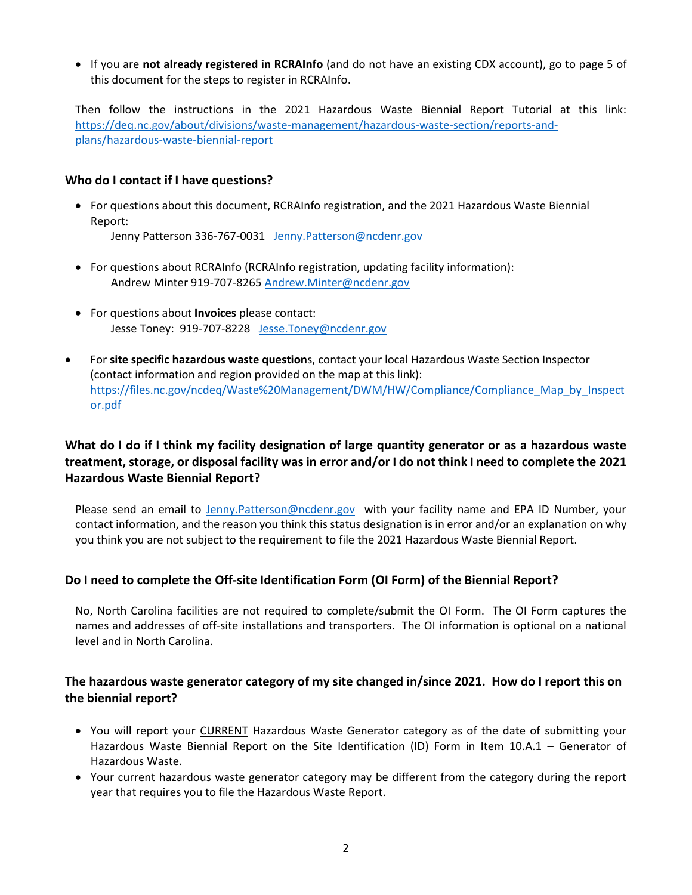• If you are **not already registered in RCRAInfo** (and do not have an existing CDX account), go to page 5 of this document for the steps to register in RCRAInfo.

Then follow the instructions in the 2021 Hazardous Waste Biennial Report Tutorial at this link: [https://deq.nc.gov/about/divisions/waste-management/hazardous-waste-section/reports-and](https://deq.nc.gov/about/divisions/waste-management/hazardous-waste-section/reports-and-plans/hazardous-waste-biennial-report)[plans/hazardous-waste-biennial-report](https://deq.nc.gov/about/divisions/waste-management/hazardous-waste-section/reports-and-plans/hazardous-waste-biennial-report)

#### **Who do I contact if I have questions?**

• For questions about this document, RCRAInfo registration, and the 2021 Hazardous Waste Biennial Report:

Jenny Patterson 336-767-0031 [Jenny.Patterson@ncdenr.gov](mailto:Jenny.Patterson@ncdenr.gov)

- For questions about RCRAInfo (RCRAInfo registration, updating facility information): Andrew Minter 919-707-8265 [Andrew.Minter@ncdenr.gov](mailto:Andrew.Minter@ncdenr.gov)
- For questions about **Invoices** please contact: Jesse Toney: 919-707-8228 [Jesse.Toney@ncdenr.gov](mailto:Jesse.Toney@ncdenr.gov)
- For **site specific hazardous waste question**s, contact your local Hazardous Waste Section Inspector (contact information and region provided on the map at this link): https://files.nc.gov/ncdeq/Waste%20Management/DWM/HW/Compliance/Compliance\_Map\_by\_Inspect or.pdf

## **What do I do if I think my facility designation of large quantity generator or as a hazardous waste treatment, storage, or disposal facility was in error and/or I do not think I need to complete the 2021 Hazardous Waste Biennial Report?**

Please send an email to [Jenny.Patterson@ncdenr.gov](mailto:Jenny.Patterson@ncdenr.gov) with your facility name and EPA ID Number, your contact information, and the reason you think this status designation is in error and/or an explanation on why you think you are not subject to the requirement to file the 2021 Hazardous Waste Biennial Report.

### **Do I need to complete the Off-site Identification Form (OI Form) of the Biennial Report?**

No, North Carolina facilities are not required to complete/submit the OI Form. The OI Form captures the names and addresses of off‐site installations and transporters. The OI information is optional on a national level and in North Carolina.

## **The hazardous waste generator category of my site changed in/since 2021. How do I report this on the biennial report?**

- You will report your CURRENT Hazardous Waste Generator category as of the date of submitting your Hazardous Waste Biennial Report on the Site Identification (ID) Form in Item 10.A.1 – Generator of Hazardous Waste.
- Your current hazardous waste generator category may be different from the category during the report year that requires you to file the Hazardous Waste Report.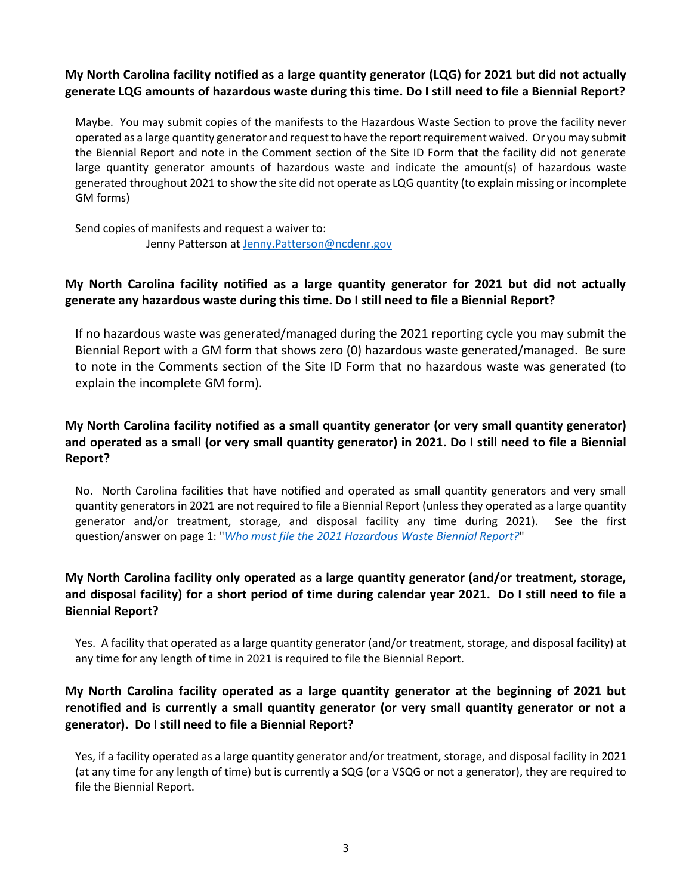## **My North Carolina facility notified as a large quantity generator (LQG) for 2021 but did not actually generate LQG amounts of hazardous waste during this time. Do I still need to file a Biennial Report?**

Maybe. You may submit copies of the manifests to the Hazardous Waste Section to prove the facility never operated as a large quantity generator and request to have the report requirement waived. Or you may submit the Biennial Report and note in the Comment section of the Site ID Form that the facility did not generate large quantity generator amounts of hazardous waste and indicate the amount(s) of hazardous waste generated throughout 2021 to show the site did not operate as LQG quantity (to explain missing or incomplete GM forms)

Send copies of manifests and request a waiver to: Jenny Patterson at [Jenny.Patterson@ncdenr.gov](mailto:Jenny.Patterson@ncdenr.gov)

## **My North Carolina facility notified as a large quantity generator for 2021 but did not actually generate any hazardous waste during this time. Do I still need to file a Biennial Report?**

If no hazardous waste was generated/managed during the 2021 reporting cycle you may submit the Biennial Report with a GM form that shows zero (0) hazardous waste generated/managed. Be sure to note in the Comments section of the Site ID Form that no hazardous waste was generated (to explain the incomplete GM form).

## **My North Carolina facility notified as a small quantity generator (or very small quantity generator) and operated as a small (or very small quantity generator) in 2021. Do I still need to file a Biennial Report?**

No. North Carolina facilities that have notified and operated as small quantity generators and very small quantity generators in 2021 are not required to file a Biennial Report (unless they operated as a large quantity generator and/or treatment, storage, and disposal facility any time during 2021). See the first question/answer on page 1: "*[Who must file the 2021 Hazardous Waste Biennial Report?](#page-0-0)*"

## **My North Carolina facility only operated as a large quantity generator (and/or treatment, storage, and disposal facility) for a short period of time during calendar year 2021. Do I still need to file a Biennial Report?**

Yes. A facility that operated as a large quantity generator (and/or treatment, storage, and disposal facility) at any time for any length of time in 2021 is required to file the Biennial Report.

## **My North Carolina facility operated as a large quantity generator at the beginning of 2021 but renotified and is currently a small quantity generator (or very small quantity generator or not a generator). Do I still need to file a Biennial Report?**

Yes, if a facility operated as a large quantity generator and/or treatment, storage, and disposal facility in 2021 (at any time for any length of time) but is currently a SQG (or a VSQG or not a generator), they are required to file the Biennial Report.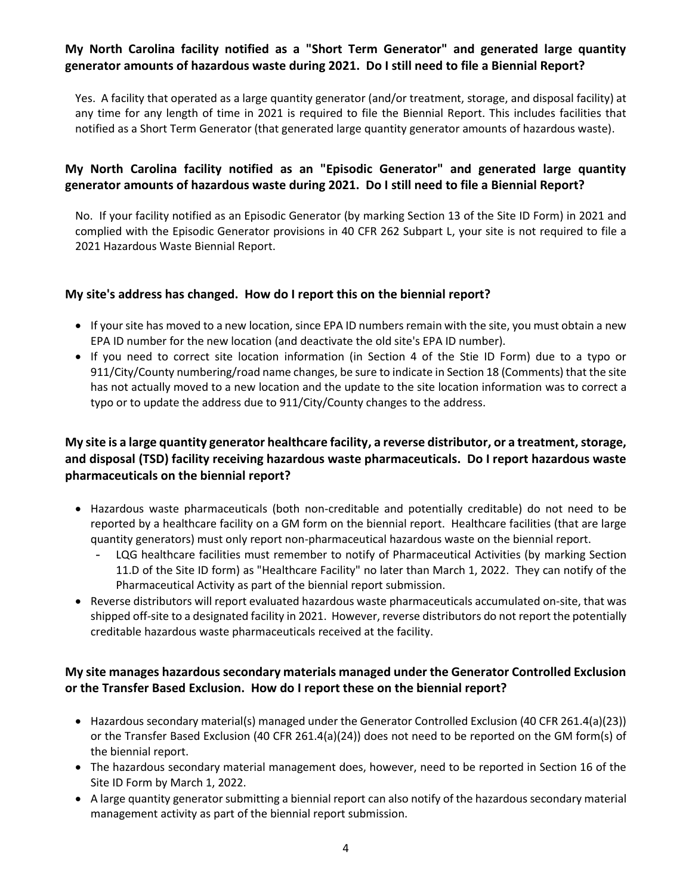### **My North Carolina facility notified as a "Short Term Generator" and generated large quantity generator amounts of hazardous waste during 2021. Do I still need to file a Biennial Report?**

Yes. A facility that operated as a large quantity generator (and/or treatment, storage, and disposal facility) at any time for any length of time in 2021 is required to file the Biennial Report. This includes facilities that notified as a Short Term Generator (that generated large quantity generator amounts of hazardous waste).

## **My North Carolina facility notified as an "Episodic Generator" and generated large quantity generator amounts of hazardous waste during 2021. Do I still need to file a Biennial Report?**

No. If your facility notified as an Episodic Generator (by marking Section 13 of the Site ID Form) in 2021 and complied with the Episodic Generator provisions in 40 CFR 262 Subpart L, your site is not required to file a 2021 Hazardous Waste Biennial Report.

### **My site's address has changed. How do I report this on the biennial report?**

- If your site has moved to a new location, since EPA ID numbers remain with the site, you must obtain a new EPA ID number for the new location (and deactivate the old site's EPA ID number).
- If you need to correct site location information (in Section 4 of the Stie ID Form) due to a typo or 911/City/County numbering/road name changes, be sure to indicate in Section 18 (Comments) that the site has not actually moved to a new location and the update to the site location information was to correct a typo or to update the address due to 911/City/County changes to the address.

## **My site is a large quantity generator healthcare facility, a reverse distributor, or a treatment, storage, and disposal (TSD) facility receiving hazardous waste pharmaceuticals. Do I report hazardous waste pharmaceuticals on the biennial report?**

- Hazardous waste pharmaceuticals (both non-creditable and potentially creditable) do not need to be reported by a healthcare facility on a GM form on the biennial report. Healthcare facilities (that are large quantity generators) must only report non-pharmaceutical hazardous waste on the biennial report.
	- LQG healthcare facilities must remember to notify of Pharmaceutical Activities (by marking Section 11.D of the Site ID form) as "Healthcare Facility" no later than March 1, 2022. They can notify of the Pharmaceutical Activity as part of the biennial report submission.
- Reverse distributors will report evaluated hazardous waste pharmaceuticals accumulated on-site, that was shipped off-site to a designated facility in 2021. However, reverse distributors do not report the potentially creditable hazardous waste pharmaceuticals received at the facility.

## **My site manages hazardous secondary materials managed under the Generator Controlled Exclusion or the Transfer Based Exclusion. How do I report these on the biennial report?**

- Hazardous secondary material(s) managed under the Generator Controlled Exclusion (40 CFR 261.4(a)(23)) or the Transfer Based Exclusion (40 CFR 261.4(a)(24)) does not need to be reported on the GM form(s) of the biennial report.
- The hazardous secondary material management does, however, need to be reported in Section 16 of the Site ID Form by March 1, 2022.
- A large quantity generator submitting a biennial report can also notify of the hazardous secondary material management activity as part of the biennial report submission.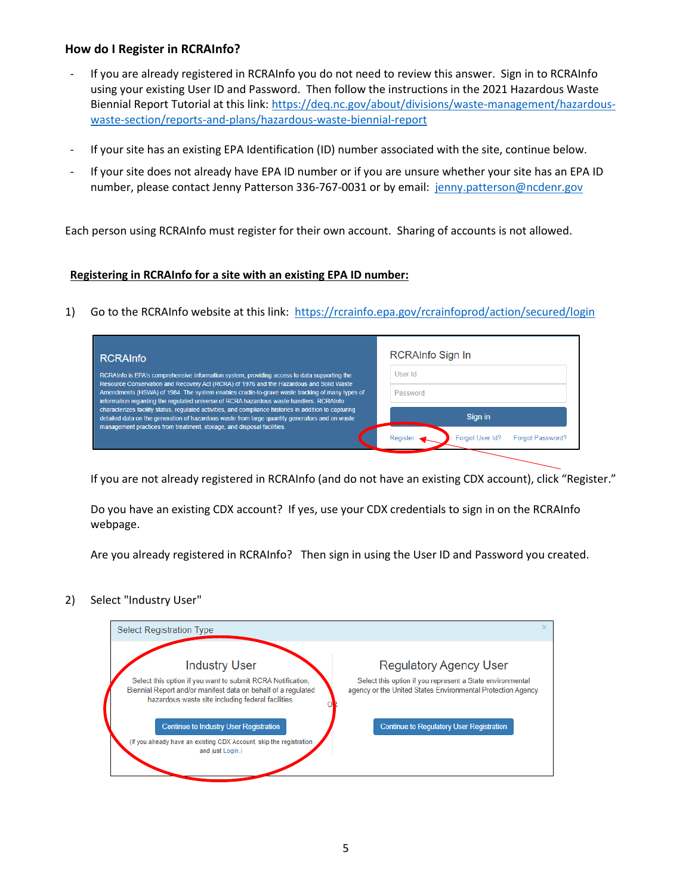### **How do I Register in RCRAInfo?**

- If you are already registered in RCRAInfo you do not need to review this answer. Sign in to RCRAInfo using your existing User ID and Password. Then follow the instructions in the 2021 Hazardous Waste Biennial Report Tutorial at this link: [https://deq.nc.gov/about/divisions/waste-management/hazardous](https://deq.nc.gov/about/divisions/waste-management/hazardous-waste-section/reports-and-plans/hazardous-waste-biennial-report)[waste-section/reports-and-plans/hazardous-waste-biennial-report](https://deq.nc.gov/about/divisions/waste-management/hazardous-waste-section/reports-and-plans/hazardous-waste-biennial-report)
- If your site has an existing EPA Identification (ID) number associated with the site, continue below.
- If your site does not already have EPA ID number or if you are unsure whether your site has an EPA ID number, please contact Jenny Patterson 336-767-0031 or by email: [jenny.patterson@ncdenr.gov](mailto:jenny.patterson@ncdenr.gov)

Each person using RCRAInfo must register for their own account. Sharing of accounts is not allowed.

#### **Registering in RCRAInfo for a site with an existing EPA ID number:**

1) Go to the RCRAInfo website at this link:<https://rcrainfo.epa.gov/rcrainfoprod/action/secured/login>

| <b>RCRAInfo</b>                                                                                                                                                                                                                                                                                                                                                                                                                                                                                                                                                                                | RCRAInfo Sign In                           |  |  |  |  |
|------------------------------------------------------------------------------------------------------------------------------------------------------------------------------------------------------------------------------------------------------------------------------------------------------------------------------------------------------------------------------------------------------------------------------------------------------------------------------------------------------------------------------------------------------------------------------------------------|--------------------------------------------|--|--|--|--|
| RCRAInfo is EPA's comprehensive information system, providing access to data supporting the<br>Resource Conservation and Recovery Act (RCRA) of 1976 and the Hazardous and Solid Waste<br>Amendments (HSWA) of 1984. The system enables cradle-to-grave waste tracking of many types of<br>information regarding the regulated universe of RCRA hazardous waste handlers. RCRAInfo<br>characterizes facility status, requlated activities, and compliance histories in addition to capturing<br>detailed data on the generation of hazardous waste from large quantity generators and on waste | User Id                                    |  |  |  |  |
|                                                                                                                                                                                                                                                                                                                                                                                                                                                                                                                                                                                                | Password                                   |  |  |  |  |
|                                                                                                                                                                                                                                                                                                                                                                                                                                                                                                                                                                                                | Sign in                                    |  |  |  |  |
| management practices from treatment, storage, and disposal facilities.                                                                                                                                                                                                                                                                                                                                                                                                                                                                                                                         | <b>Forgot Password?</b><br>Forgot User Id? |  |  |  |  |

If you are not already registered in RCRAInfo (and do not have an existing CDX account), click "Register."

Do you have an existing CDX account? If yes, use your CDX credentials to sign in on the RCRAInfo webpage.

Are you already registered in RCRAInfo? Then sign in using the User ID and Password you created.

2) Select "Industry User"

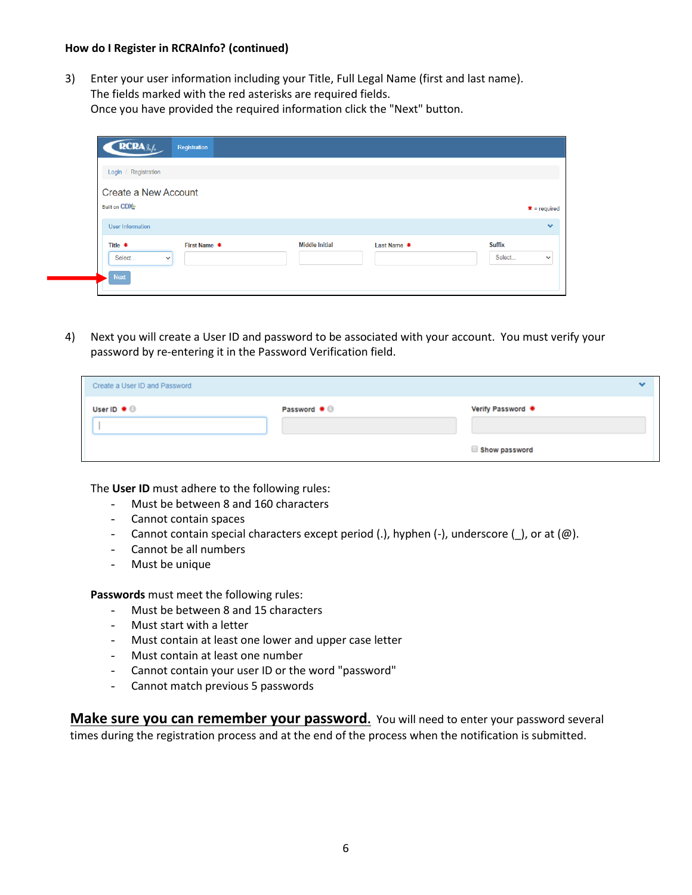3) Enter your user information including your Title, Full Legal Name (first and last name). The fields marked with the red asterisks are required fields. Once you have provided the required information click the "Next" button.

| RCRA <sub>9n/6</sub>                             | Registration |                       |             |                         |                |
|--------------------------------------------------|--------------|-----------------------|-------------|-------------------------|----------------|
| Login / Registration                             |              |                       |             |                         |                |
| Create a New Account                             |              |                       |             |                         |                |
| <b>Built on CDX</b>                              |              |                       |             |                         | $* = required$ |
| User Information                                 |              |                       |             |                         | $\bullet$      |
| Title *<br>Select<br>$\checkmark$<br><b>Next</b> | First Name * | <b>Middle Initial</b> | Last Name * | <b>Suffix</b><br>Select | $\checkmark$   |
|                                                  |              |                       |             |                         |                |

4) Next you will create a User ID and password to be associated with your account. You must verify your password by re-entering it in the Password Verification field.

| Create a User ID and Password      |              |                   |  |
|------------------------------------|--------------|-------------------|--|
| User ID $\clubsuit$ $\circledcirc$ | Password * 0 | Verify Password * |  |
|                                    |              |                   |  |
|                                    |              | Show password     |  |

The **User ID** must adhere to the following rules:

- Must be between 8 and 160 characters
- Cannot contain spaces
- Cannot contain special characters except period (.), hyphen (-), underscore (\_), or at (@).
- Cannot be all numbers
- Must be unique

**Passwords** must meet the following rules:

- Must be between 8 and 15 characters
- Must start with a letter
- Must contain at least one lower and upper case letter
- Must contain at least one number
- Cannot contain your user ID or the word "password"
- Cannot match previous 5 passwords

**Make sure you can remember your password.** You will need to enter your password several times during the registration process and at the end of the process when the notification is submitted.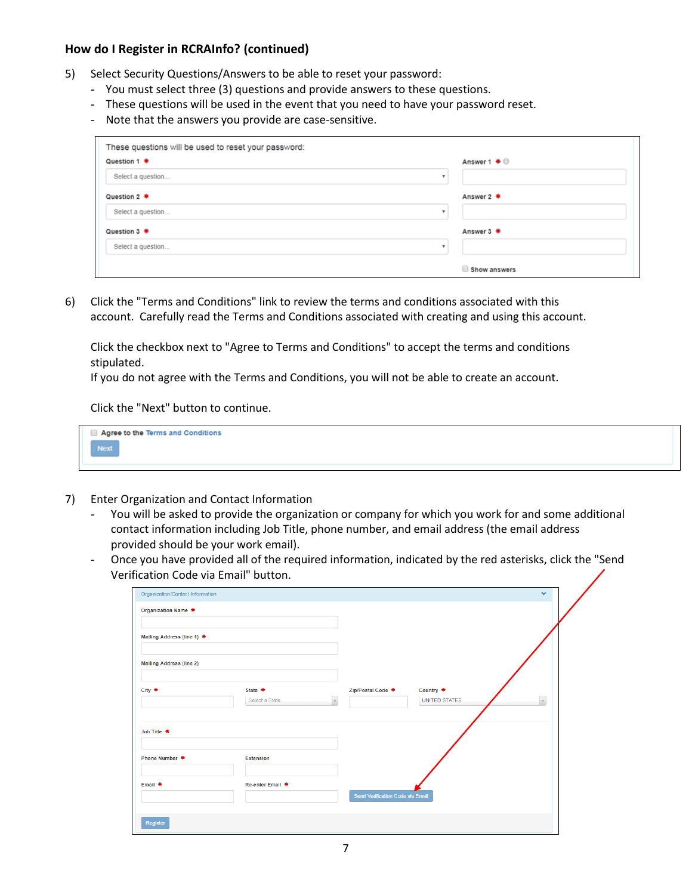- 5) Select Security Questions/Answers to be able to reset your password:
	- You must select three (3) questions and provide answers to these questions.
	- These questions will be used in the event that you need to have your password reset.
	- Note that the answers you provide are case-sensitive.

| Question 1 *      | Answer $1 \oplus \oplus$  |
|-------------------|---------------------------|
| Select a question | $\boldsymbol{\mathrm{v}}$ |
| Question 2 *      | Answer 2 <del>♦</del>     |
| Select a question | ۰                         |
| Question 3 *      | Answer 3 <del>*</del>     |
| Select a question | ٠                         |

6) Click the "Terms and Conditions" link to review the terms and conditions associated with this account. Carefully read the Terms and Conditions associated with creating and using this account.

Click the checkbox next to "Agree to Terms and Conditions" to accept the terms and conditions stipulated.

If you do not agree with the Terms and Conditions, you will not be able to create an account.

Click the "Next" button to continue.

| Agree to the Terms and Conditions |
|-----------------------------------|
| Next /                            |

- 7) Enter Organization and Contact Information
	- You will be asked to provide the organization or company for which you work for and some additional contact information including Job Title, phone number, and email address (the email address provided should be your work email).
	- Once you have provided all of the required information, indicated by the red asterisks, click the "Send Verification Code via Email" button.

| <b>Organization Name *</b>      |                             |                                                                    |  |
|---------------------------------|-----------------------------|--------------------------------------------------------------------|--|
| Mailing Address (line 1) *      |                             |                                                                    |  |
| <b>Mailing Address (line 2)</b> |                             |                                                                    |  |
| City *                          | State $*$<br>Select a State | Country *<br>Zip/Postal Code *<br>v<br>$_{\rm v}$<br>UNITED STATES |  |
| Job Title *                     |                             |                                                                    |  |
| Phone Number *                  | Extension                   |                                                                    |  |
| Email *                         | Re-enter Email *            | Send Verification Code via Email                                   |  |
| Register                        |                             |                                                                    |  |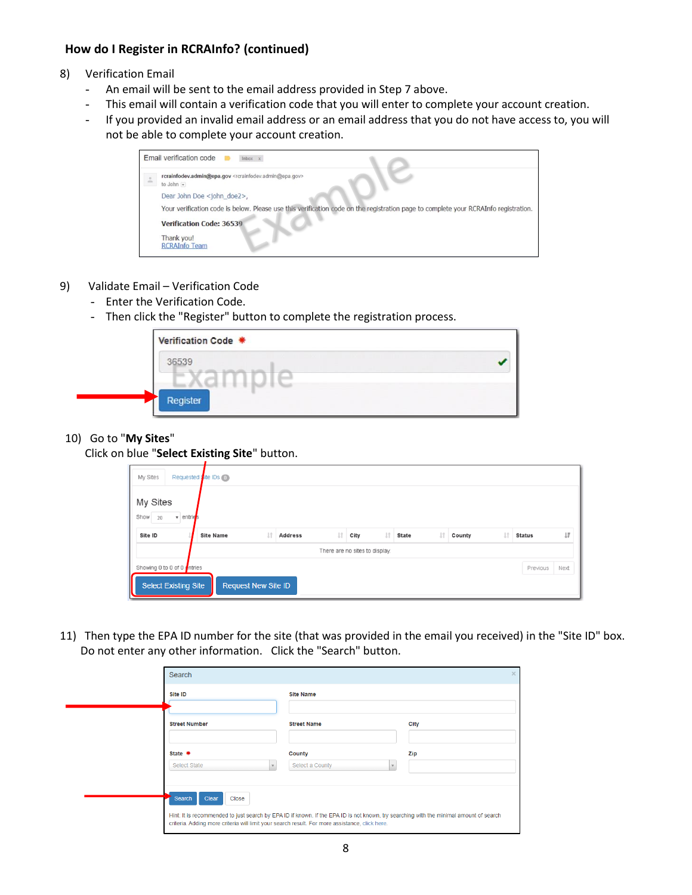- 8) Verification Email
	- An email will be sent to the email address provided in Step 7 above.
	- This email will contain a verification code that you will enter to complete your account creation.
	- If you provided an invalid email address or an email address that you do not have access to, you will not be able to complete your account creation.

| Email verification code<br>Inbox x                                                                                                  |
|-------------------------------------------------------------------------------------------------------------------------------------|
| rcrainfodev.admin@epa.gov <rcrainfodev.admin@epa.gov><br/>to John <math>\overline{\phantom{a}}</math></rcrainfodev.admin@epa.gov>   |
| Dear John Doe <john doe2="">,</john>                                                                                                |
| Your verification code is below. Please use this verification code on the registration page to complete your RCRAInfo registration. |
| <b>Verification Code: 36539</b>                                                                                                     |
| Thank you!<br><b>RCRAInfo Team</b>                                                                                                  |

- 9) Validate Email Verification Code
	- Enter the Verification Code.
	- Then click the "Register" button to complete the registration process.

| Verification Code * |  |
|---------------------|--|
| 36539               |  |
|                     |  |
| Register            |  |

#### 10) Go to "**My Sites**"

Click on blue "**Select Existing Site**" button.

| My Sites   |                      |                      |    |                                |                     |              |               |
|------------|----------------------|----------------------|----|--------------------------------|---------------------|--------------|---------------|
| Show<br>20 | $\mathbf{v}$ entries |                      |    |                                |                     |              |               |
| Site ID    | <b>Site Name</b>     | 1î<br><b>Address</b> | Jî | 圹<br>City                      | Jî.<br><b>State</b> | L1<br>County | <b>Status</b> |
|            |                      |                      |    | There are no sites to display. |                     |              |               |

11) Then type the EPA ID number for the site (that was provided in the email you received) in the "Site ID" box. Do not enter any other information. Click the "Search" button.

| Site ID              | <b>Site Name</b>   |        |
|----------------------|--------------------|--------|
| <b>Street Number</b> | <b>Street Name</b> | City   |
| State *              | County             | Zip    |
| Select State         | Select a County    | $\sim$ |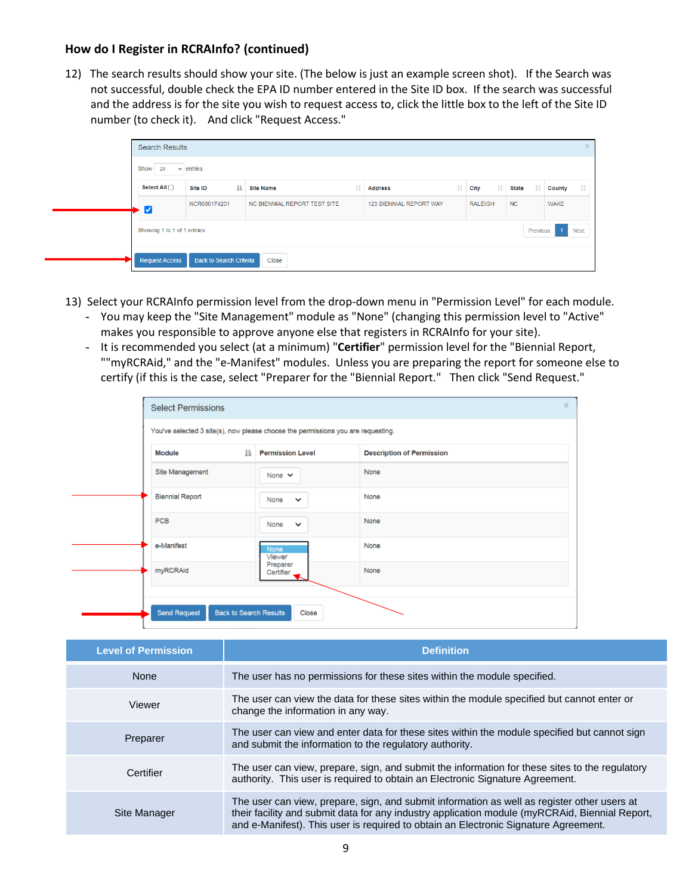12) The search results should show your site. (The below is just an example screen shot). If the Search was not successful, double check the EPA ID number entered in the Site ID box. If the search was successful and the address is for the site you wish to request access to, click the little box to the left of the Site ID number (to check it). And click "Request Access."

| <b>Search Results</b>                   |                                |                              |    |                         |     |                |           |              |  |             | $\times$ |
|-----------------------------------------|--------------------------------|------------------------------|----|-------------------------|-----|----------------|-----------|--------------|--|-------------|----------|
| Show 20<br>$\vee$ entries               |                                |                              |    |                         |     |                |           |              |  |             |          |
| Select All                              | li.<br>Site ID                 | <b>Site Name</b>             | 11 | <b>Address</b>          | Jî. | City           | <b>Jî</b> | <b>State</b> |  | County      |          |
| ✓                                       | NCR000174201                   | NC BIENNIAL REPORT TEST SITE |    | 123 BIENNIAL REPORT WAY |     | <b>RALEIGH</b> |           | <b>NC</b>    |  | <b>WAKE</b> |          |
| Showing 1 to 1 of 1 entries<br>Previous |                                |                              |    |                         |     |                |           |              |  | <b>Next</b> |          |
| <b>Request Access</b>                   | <b>Back to Search Criteria</b> | Close                        |    |                         |     |                |           |              |  |             |          |

- 13) Select your RCRAInfo permission level from the drop-down menu in "Permission Level" for each module.
	- You may keep the "Site Management" module as "None" (changing this permission level to "Active" makes you responsible to approve anyone else that registers in RCRAInfo for your site).
	- It is recommended you select (at a minimum) "**Certifier**" permission level for the "Biennial Report, ""myRCRAid," and the "e-Manifest" modules. Unless you are preparing the report for someone else to certify (if this is the case, select "Preparer for the "Biennial Report." Then click "Send Request."

| <b>Select Permissions</b>                                                        |                         |                                  |
|----------------------------------------------------------------------------------|-------------------------|----------------------------------|
| You've selected 3 site(s), now please choose the permissions you are requesting. |                         |                                  |
| ΠĒ<br><b>Module</b>                                                              | <b>Permission Level</b> | <b>Description of Permission</b> |
| Site Management                                                                  | None $\vee$             | None                             |
| <b>Biennial Report</b>                                                           | None<br>$\checkmark$    | None                             |
| <b>PCB</b>                                                                       | None<br>$\checkmark$    | None                             |
| e-Manifest                                                                       | <b>None</b><br>Viewer   | None                             |
| myRCRAid                                                                         | Preparer<br>Certifier   | None                             |
|                                                                                  |                         |                                  |
| <b>Send Request</b><br><b>Back to Search Results</b>                             | Close                   |                                  |

| <b>Level of Permission</b> | <b>Definition</b>                                                                                                                                                                                                                                                                    |
|----------------------------|--------------------------------------------------------------------------------------------------------------------------------------------------------------------------------------------------------------------------------------------------------------------------------------|
| <b>None</b>                | The user has no permissions for these sites within the module specified.                                                                                                                                                                                                             |
| Viewer                     | The user can view the data for these sites within the module specified but cannot enter or<br>change the information in any way.                                                                                                                                                     |
| Preparer                   | The user can view and enter data for these sites within the module specified but cannot sign<br>and submit the information to the regulatory authority.                                                                                                                              |
| Certifier                  | The user can view, prepare, sign, and submit the information for these sites to the regulatory<br>authority. This user is required to obtain an Electronic Signature Agreement.                                                                                                      |
| Site Manager               | The user can view, prepare, sign, and submit information as well as register other users at<br>their facility and submit data for any industry application module (myRCRAid, Biennial Report,<br>and e-Manifest). This user is required to obtain an Electronic Signature Agreement. |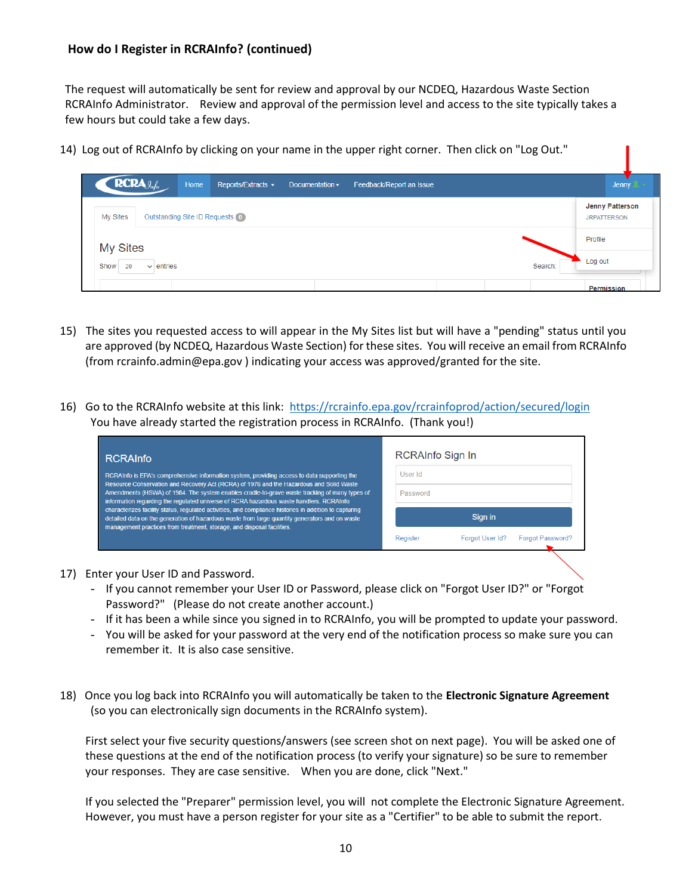The request will automatically be sent for review and approval by our NCDEQ, Hazardous Waste Section RCRAInfo Administrator. Review and approval of the permission level and access to the site typically takes a few hours but could take a few days.

14) Log out of RCRAInfo by clicking on your name in the upper right corner. Then click on "Log Out."

| $RCRA_{\mathcal{A}_{n}}$                   | Home | Reports/Extracts $\sim$ | Documentation $\sim$ | Feedback/Report an Issue |         | Jenny $\mathbb{R}$ -                  |
|--------------------------------------------|------|-------------------------|----------------------|--------------------------|---------|---------------------------------------|
| Outstanding Site ID Requests O<br>My Sites |      |                         |                      |                          |         | Jenny Patterson<br><b>JRPATTERSON</b> |
| <b>My Sites</b>                            |      |                         |                      |                          |         | Profile                               |
| $\vee$ entries<br>Show<br>20               |      |                         |                      |                          | Search: | Log out                               |
|                                            |      |                         |                      |                          |         | Permission                            |

- 15) The sites you requested access to will appear in the My Sites list but will have a "pending" status until you are approved (by NCDEQ, Hazardous Waste Section) for these sites. You will receive an email from RCRAInfo (from rcrainfo.admin@epa.gov ) indicating your access was approved/granted for the site.
- 16) Go to the RCRAInfo website at this link:<https://rcrainfo.epa.gov/rcrainfoprod/action/secured/login> You have already started the registration process in RCRAInfo. (Thank you!)

| <b>RCRAInfo</b>                                                                                                                                                                                                                                                                     | RCRAInfo Sign In |                 |                         |  |  |
|-------------------------------------------------------------------------------------------------------------------------------------------------------------------------------------------------------------------------------------------------------------------------------------|------------------|-----------------|-------------------------|--|--|
| RCRAInfo is EPA's comprehensive information system, providing access to data supporting the                                                                                                                                                                                         | User Id          |                 |                         |  |  |
| Resource Conservation and Recovery Act (RCRA) of 1976 and the Hazardous and Solid Waste<br>Amendments (HSWA) of 1984. The system enables cradle-to-grave waste tracking of many types of<br>information regarding the regulated universe of RCRA hazardous waste handlers. RCRAInfo | Password         |                 |                         |  |  |
| characterizes facility status, regulated activities, and compliance histories in addition to capturing<br>detailed data on the generation of hazardous waste from large quantity generators and on waste<br>management practices from treatment, storage, and disposal facilities.  |                  | Sign in         |                         |  |  |
|                                                                                                                                                                                                                                                                                     | Register         | Forgot User Id? | <b>Forgot Password?</b> |  |  |
|                                                                                                                                                                                                                                                                                     |                  |                 |                         |  |  |

- 17) Enter your User ID and Password.
	- If you cannot remember your User ID or Password, please click on "Forgot User ID?" or "Forgot Password?" (Please do not create another account.)
	- If it has been a while since you signed in to RCRAInfo, you will be prompted to update your password.
	- You will be asked for your password at the very end of the notification process so make sure you can remember it. It is also case sensitive.
- 18) Once you log back into RCRAInfo you will automatically be taken to the **Electronic Signature Agreement** (so you can electronically sign documents in the RCRAInfo system).

First select your five security questions/answers (see screen shot on next page). You will be asked one of these questions at the end of the notification process (to verify your signature) so be sure to remember your responses. They are case sensitive. When you are done, click "Next."

If you selected the "Preparer" permission level, you will not complete the Electronic Signature Agreement. However, you must have a person register for your site as a "Certifier" to be able to submit the report.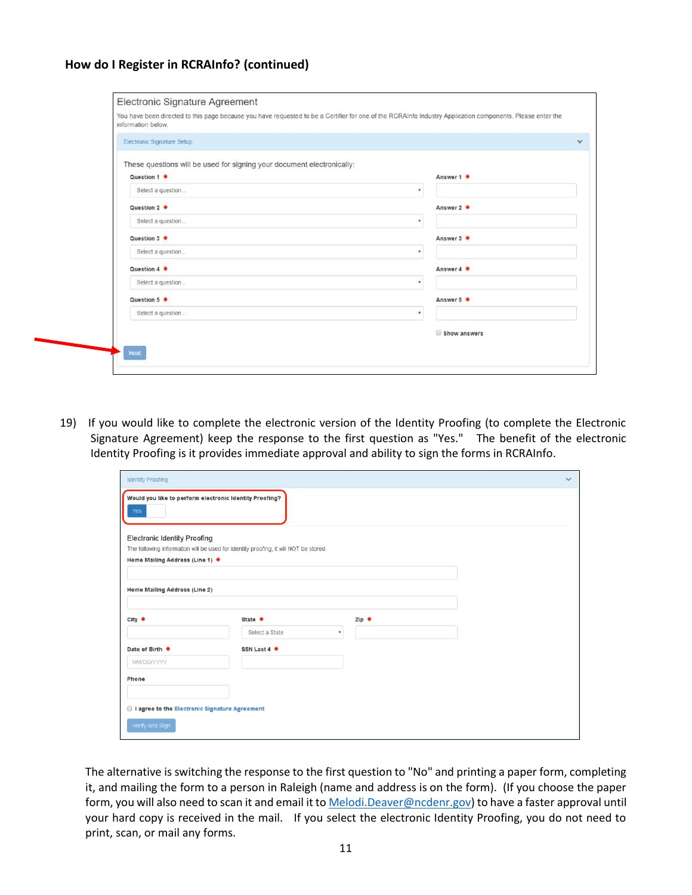| information below.         |                                                                        |                           |
|----------------------------|------------------------------------------------------------------------|---------------------------|
| Electronic Signature Setup |                                                                        |                           |
|                            | These questions will be used for signing your document electronically: |                           |
| Question 1 *               |                                                                        | Answer 1 *                |
| Select a question          |                                                                        | ٧                         |
| Question 2 *               |                                                                        | Answer 2 *                |
| Select a question          |                                                                        | ۰                         |
| Question 3 *               |                                                                        | Answer 3 *                |
| Select a question          |                                                                        | $\boldsymbol{\pi}$        |
| Question 4 *               |                                                                        | Answer 4 *                |
| Select a question          |                                                                        | ٠                         |
| Question 5 *               |                                                                        | Answer 5 *                |
| Select a question          |                                                                        | $\boldsymbol{\mathrm{v}}$ |
|                            |                                                                        | Show answers              |

19) If you would like to complete the electronic version of the Identity Proofing (to complete the Electronic Signature Agreement) keep the response to the first question as "Yes." The benefit of the electronic Identity Proofing is it provides immediate approval and ability to sign the forms in RCRAInfo.

| <b>Identity Proofing</b>                                       |                                                                                      |                           | $\checkmark$ |
|----------------------------------------------------------------|--------------------------------------------------------------------------------------|---------------------------|--------------|
| Would you like to perform electronic Identity Proofing?<br>Yes |                                                                                      |                           |              |
| <b>Electronic Identity Proofing</b>                            |                                                                                      |                           |              |
|                                                                | The following information will be used for identity proofing, it will NOT be stored. |                           |              |
| Home Mailing Address (Line 1) *                                |                                                                                      |                           |              |
|                                                                |                                                                                      |                           |              |
| Home Mailing Address (Line 2)                                  |                                                                                      |                           |              |
|                                                                |                                                                                      |                           |              |
| City $*$                                                       | State *                                                                              | Zip *                     |              |
|                                                                | Select a State                                                                       | $\boldsymbol{\mathrm{v}}$ |              |
| Date of Birth *                                                | SSN Last 4 *                                                                         |                           |              |
| MM/DD/YYYY                                                     |                                                                                      |                           |              |
| Phone                                                          |                                                                                      |                           |              |
|                                                                |                                                                                      |                           |              |
|                                                                |                                                                                      |                           |              |
| I agree to the Electronic Signature Agreement                  |                                                                                      |                           |              |
| Verify and Sign                                                |                                                                                      |                           |              |
|                                                                |                                                                                      |                           |              |

The alternative is switching the response to the first question to "No" and printing a paper form, completing it, and mailing the form to a person in Raleigh (name and address is on the form). (If you choose the paper form, you will also need to scan it and email it t[o Melodi.Deaver@ncdenr.gov\)](mailto:Melodi.Deaver@ncdenr.gov) to have a faster approval until your hard copy is received in the mail. If you select the electronic Identity Proofing, you do not need to print, scan, or mail any forms.